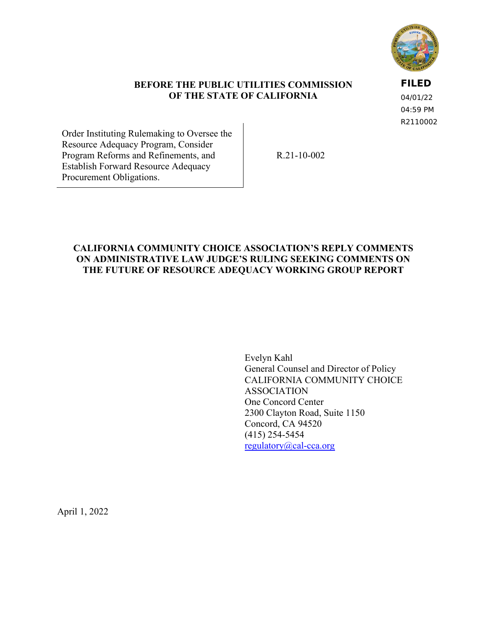

#### **BEFORE THE PUBLIC UTILITIES COMMISSION OF THE STATE OF CALIFORNIA**

**FILED**

04/01/22 04:59 PM R2110002

Order Instituting Rulemaking to Oversee the Resource Adequacy Program, Consider Program Reforms and Refinements, and Establish Forward Resource Adequacy Procurement Obligations.

R.21-10-002

### **CALIFORNIA COMMUNITY CHOICE ASSOCIATION'S REPLY COMMENTS ON ADMINISTRATIVE LAW JUDGE'S RULING SEEKING COMMENTS ON THE FUTURE OF RESOURCE ADEQUACY WORKING GROUP REPORT**

Evelyn Kahl General Counsel and Director of Policy CALIFORNIA COMMUNITY CHOICE ASSOCIATION One Concord Center 2300 Clayton Road, Suite 1150 Concord, CA 94520 (415) 254-5454 [regulatory@cal-cca.org](mailto:regulatory@cal-cca.org)

April 1, 2022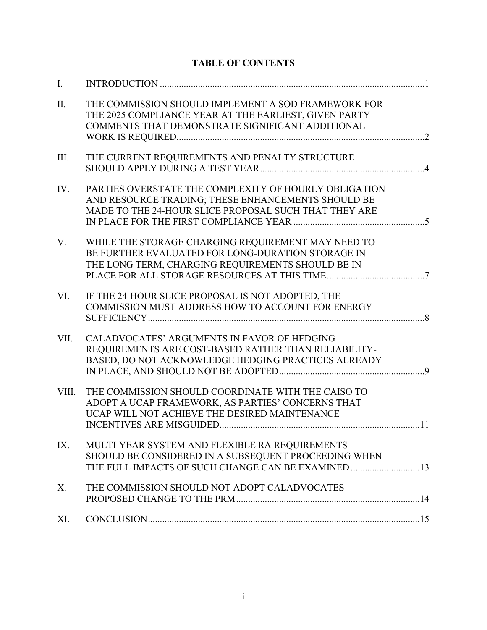# **TABLE OF CONTENTS**

| I.    |                                                                                                                                                                      |  |
|-------|----------------------------------------------------------------------------------------------------------------------------------------------------------------------|--|
| II.   | THE COMMISSION SHOULD IMPLEMENT A SOD FRAMEWORK FOR<br>THE 2025 COMPLIANCE YEAR AT THE EARLIEST, GIVEN PARTY<br>COMMENTS THAT DEMONSTRATE SIGNIFICANT ADDITIONAL     |  |
| III.  | THE CURRENT REQUIREMENTS AND PENALTY STRUCTURE                                                                                                                       |  |
| IV.   | PARTIES OVERSTATE THE COMPLEXITY OF HOURLY OBLIGATION<br>AND RESOURCE TRADING; THESE ENHANCEMENTS SHOULD BE<br>MADE TO THE 24-HOUR SLICE PROPOSAL SUCH THAT THEY ARE |  |
| V.    | WHILE THE STORAGE CHARGING REQUIREMENT MAY NEED TO<br>BE FURTHER EVALUATED FOR LONG-DURATION STORAGE IN<br>THE LONG TERM, CHARGING REQUIREMENTS SHOULD BE IN         |  |
| VI.   | IF THE 24-HOUR SLICE PROPOSAL IS NOT ADOPTED, THE<br>COMMISSION MUST ADDRESS HOW TO ACCOUNT FOR ENERGY                                                               |  |
| VII.  | CALADVOCATES' ARGUMENTS IN FAVOR OF HEDGING<br>REQUIREMENTS ARE COST-BASED RATHER THAN RELIABILITY-<br>BASED, DO NOT ACKNOWLEDGE HEDGING PRACTICES ALREADY           |  |
| VIII. | THE COMMISSION SHOULD COORDINATE WITH THE CAISO TO<br>ADOPT A UCAP FRAMEWORK, AS PARTIES' CONCERNS THAT<br>UCAP WILL NOT ACHIEVE THE DESIRED MAINTENANCE             |  |
| IX.   | MULTI-YEAR SYSTEM AND FLEXIBLE RA REQUIREMENTS<br>SHOULD BE CONSIDERED IN A SUBSEQUENT PROCEEDING WHEN                                                               |  |
| X.    | THE COMMISSION SHOULD NOT ADOPT CALADVOCATES                                                                                                                         |  |
| XI.   |                                                                                                                                                                      |  |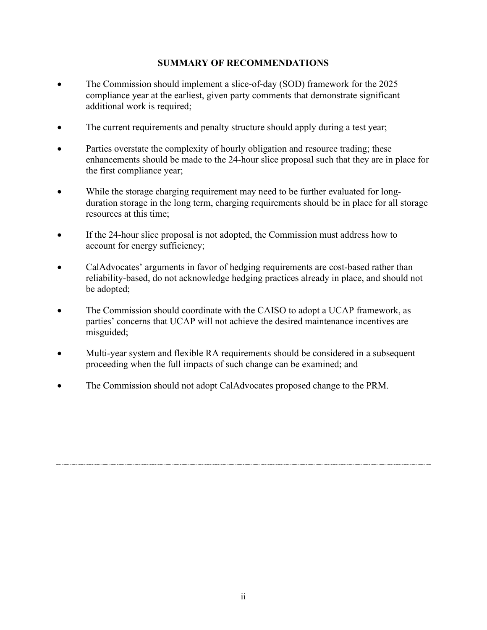### **SUMMARY OF RECOMMENDATIONS**

- The Commission should implement a slice-of-day (SOD) framework for the 2025 compliance year at the earliest, given party comments that demonstrate significant additional work is required;
- The current requirements and penalty structure should apply during a test year;
- Parties overstate the complexity of hourly obligation and resource trading; these enhancements should be made to the 24-hour slice proposal such that they are in place for the first compliance year;
- While the storage charging requirement may need to be further evaluated for longduration storage in the long term, charging requirements should be in place for all storage resources at this time;
- If the 24-hour slice proposal is not adopted, the Commission must address how to account for energy sufficiency;
- CalAdvocates' arguments in favor of hedging requirements are cost-based rather than reliability-based, do not acknowledge hedging practices already in place, and should not be adopted;
- The Commission should coordinate with the CAISO to adopt a UCAP framework, as parties' concerns that UCAP will not achieve the desired maintenance incentives are misguided;
- Multi-year system and flexible RA requirements should be considered in a subsequent proceeding when the full impacts of such change can be examined; and
- The Commission should not adopt CalAdvocates proposed change to the PRM.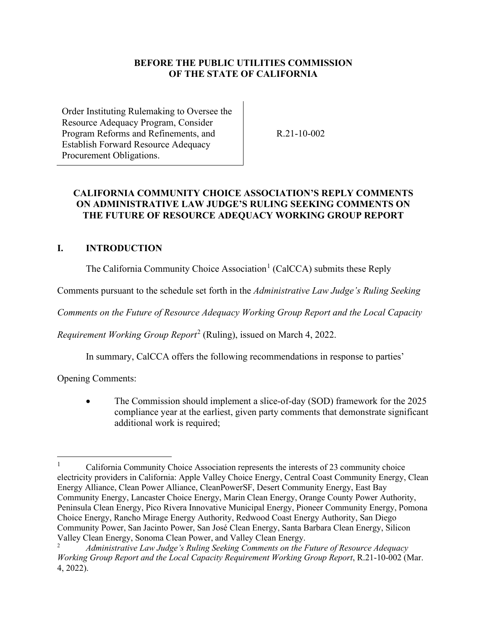### **BEFORE THE PUBLIC UTILITIES COMMISSION OF THE STATE OF CALIFORNIA**

Order Instituting Rulemaking to Oversee the Resource Adequacy Program, Consider Program Reforms and Refinements, and Establish Forward Resource Adequacy Procurement Obligations.

R.21-10-002

### **CALIFORNIA COMMUNITY CHOICE ASSOCIATION'S REPLY COMMENTS ON ADMINISTRATIVE LAW JUDGE'S RULING SEEKING COMMENTS ON THE FUTURE OF RESOURCE ADEQUACY WORKING GROUP REPORT**

## <span id="page-3-0"></span>**I. INTRODUCTION**

The California Community Choice Association<sup>[1](#page-3-1)</sup> (CalCCA) submits these Reply

Comments pursuant to the schedule set forth in the *Administrative Law Judge's Ruling Seeking* 

*Comments on the Future of Resource Adequacy Working Group Report and the Local Capacity* 

*Requirement Working Group Report*[2](#page-3-2) (Ruling), issued on March 4, 2022.

In summary, CalCCA offers the following recommendations in response to parties'

Opening Comments:

• The Commission should implement a slice-of-day (SOD) framework for the 2025 compliance year at the earliest, given party comments that demonstrate significant additional work is required;

<span id="page-3-1"></span><sup>1</sup> California Community Choice Association represents the interests of 23 community choice electricity providers in California: Apple Valley Choice Energy, Central Coast Community Energy, Clean Energy Alliance, Clean Power Alliance, CleanPowerSF, Desert Community Energy, East Bay Community Energy, Lancaster Choice Energy, Marin Clean Energy, Orange County Power Authority, Peninsula Clean Energy, Pico Rivera Innovative Municipal Energy, Pioneer Community Energy, Pomona Choice Energy, Rancho Mirage Energy Authority, Redwood Coast Energy Authority, San Diego Community Power, San Jacinto Power, San José Clean Energy, Santa Barbara Clean Energy, Silicon Valley Clean Energy, Sonoma Clean Power, and Valley Clean Energy.

<span id="page-3-2"></span><sup>2</sup> *Administrative Law Judge's Ruling Seeking Comments on the Future of Resource Adequacy Working Group Report and the Local Capacity Requirement Working Group Report*, R.21-10-002 (Mar. 4, 2022).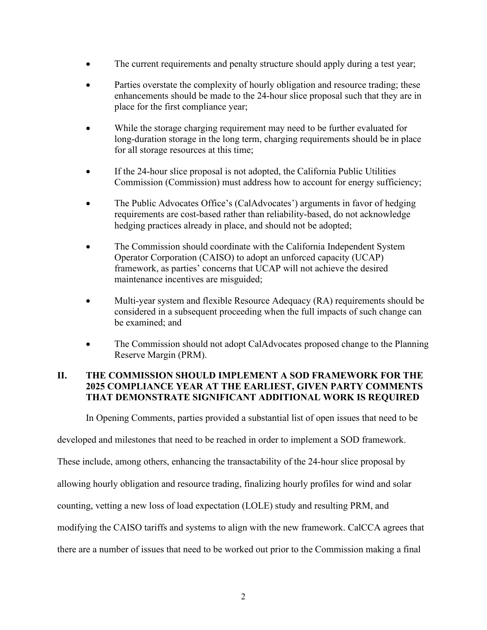- The current requirements and penalty structure should apply during a test year;
- Parties overstate the complexity of hourly obligation and resource trading; these enhancements should be made to the 24-hour slice proposal such that they are in place for the first compliance year;
- While the storage charging requirement may need to be further evaluated for long-duration storage in the long term, charging requirements should be in place for all storage resources at this time;
- If the 24-hour slice proposal is not adopted, the California Public Utilities Commission (Commission) must address how to account for energy sufficiency;
- The Public Advocates Office's (CalAdvocates') arguments in favor of hedging requirements are cost-based rather than reliability-based, do not acknowledge hedging practices already in place, and should not be adopted;
- The Commission should coordinate with the California Independent System Operator Corporation (CAISO) to adopt an unforced capacity (UCAP) framework, as parties' concerns that UCAP will not achieve the desired maintenance incentives are misguided;
- Multi-year system and flexible Resource Adequacy (RA) requirements should be considered in a subsequent proceeding when the full impacts of such change can be examined; and
- The Commission should not adopt CalAdvocates proposed change to the Planning Reserve Margin (PRM).

## <span id="page-4-0"></span>**II. THE COMMISSION SHOULD IMPLEMENT A SOD FRAMEWORK FOR THE 2025 COMPLIANCE YEAR AT THE EARLIEST, GIVEN PARTY COMMENTS THAT DEMONSTRATE SIGNIFICANT ADDITIONAL WORK IS REQUIRED**

In Opening Comments, parties provided a substantial list of open issues that need to be

developed and milestones that need to be reached in order to implement a SOD framework.

These include, among others, enhancing the transactability of the 24-hour slice proposal by

allowing hourly obligation and resource trading, finalizing hourly profiles for wind and solar

counting, vetting a new loss of load expectation (LOLE) study and resulting PRM, and

modifying the CAISO tariffs and systems to align with the new framework. CalCCA agrees that

there are a number of issues that need to be worked out prior to the Commission making a final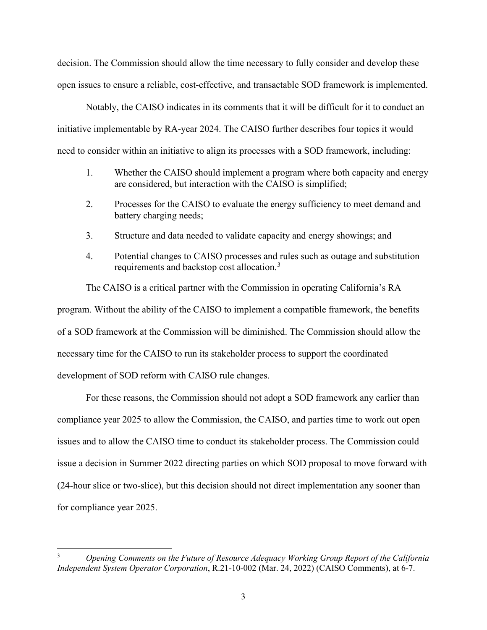decision. The Commission should allow the time necessary to fully consider and develop these open issues to ensure a reliable, cost-effective, and transactable SOD framework is implemented.

Notably, the CAISO indicates in its comments that it will be difficult for it to conduct an initiative implementable by RA-year 2024. The CAISO further describes four topics it would need to consider within an initiative to align its processes with a SOD framework, including:

- 1. Whether the CAISO should implement a program where both capacity and energy are considered, but interaction with the CAISO is simplified;
- 2. Processes for the CAISO to evaluate the energy sufficiency to meet demand and battery charging needs;
- 3. Structure and data needed to validate capacity and energy showings; and
- 4. Potential changes to CAISO processes and rules such as outage and substitution requirements and backstop cost allocation.<sup>[3](#page-5-0)</sup>

The CAISO is a critical partner with the Commission in operating California's RA program. Without the ability of the CAISO to implement a compatible framework, the benefits of a SOD framework at the Commission will be diminished. The Commission should allow the necessary time for the CAISO to run its stakeholder process to support the coordinated development of SOD reform with CAISO rule changes.

For these reasons, the Commission should not adopt a SOD framework any earlier than compliance year 2025 to allow the Commission, the CAISO, and parties time to work out open issues and to allow the CAISO time to conduct its stakeholder process. The Commission could issue a decision in Summer 2022 directing parties on which SOD proposal to move forward with (24-hour slice or two-slice), but this decision should not direct implementation any sooner than for compliance year 2025.

<span id="page-5-0"></span><sup>3</sup> *Opening Comments on the Future of Resource Adequacy Working Group Report of the California Independent System Operator Corporation*, R.21-10-002 (Mar. 24, 2022) (CAISO Comments), at 6-7.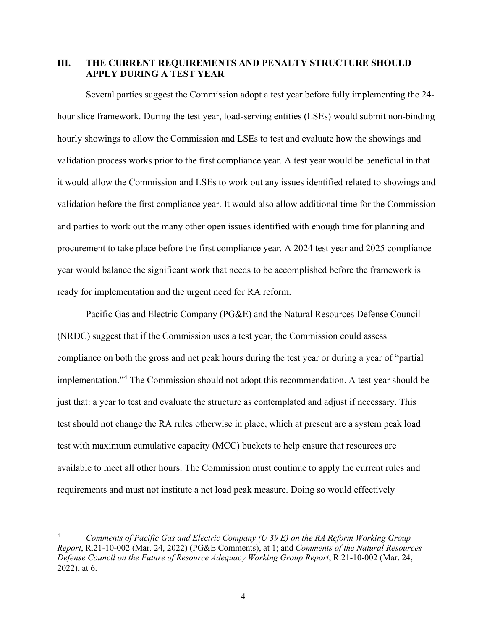#### <span id="page-6-0"></span>**III. THE CURRENT REQUIREMENTS AND PENALTY STRUCTURE SHOULD APPLY DURING A TEST YEAR**

Several parties suggest the Commission adopt a test year before fully implementing the 24 hour slice framework. During the test year, load-serving entities (LSEs) would submit non-binding hourly showings to allow the Commission and LSEs to test and evaluate how the showings and validation process works prior to the first compliance year. A test year would be beneficial in that it would allow the Commission and LSEs to work out any issues identified related to showings and validation before the first compliance year. It would also allow additional time for the Commission and parties to work out the many other open issues identified with enough time for planning and procurement to take place before the first compliance year. A 2024 test year and 2025 compliance year would balance the significant work that needs to be accomplished before the framework is ready for implementation and the urgent need for RA reform.

Pacific Gas and Electric Company (PG&E) and the Natural Resources Defense Council (NRDC) suggest that if the Commission uses a test year, the Commission could assess compliance on both the gross and net peak hours during the test year or during a year of "partial implementation."[4](#page-6-1) The Commission should not adopt this recommendation. A test year should be just that: a year to test and evaluate the structure as contemplated and adjust if necessary. This test should not change the RA rules otherwise in place, which at present are a system peak load test with maximum cumulative capacity (MCC) buckets to help ensure that resources are available to meet all other hours. The Commission must continue to apply the current rules and requirements and must not institute a net load peak measure. Doing so would effectively

<span id="page-6-1"></span><sup>4</sup> *Comments of Pacific Gas and Electric Company (U 39 E) on the RA Reform Working Group Report*, R.21-10-002 (Mar. 24, 2022) (PG&E Comments), at 1; and *Comments of the Natural Resources Defense Council on the Future of Resource Adequacy Working Group Report*, R.21-10-002 (Mar. 24, 2022), at 6.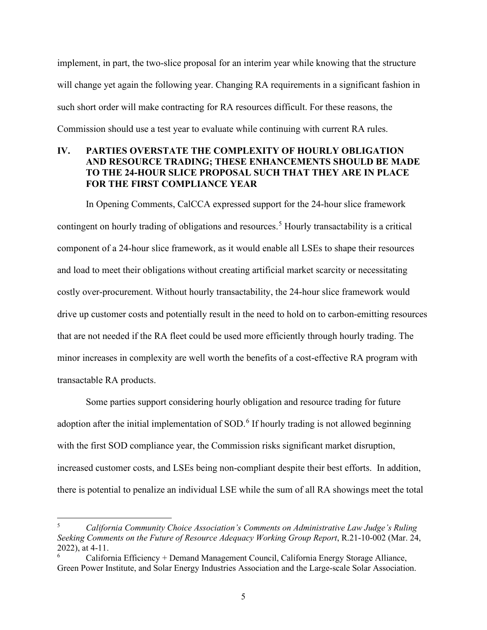implement, in part, the two-slice proposal for an interim year while knowing that the structure will change yet again the following year. Changing RA requirements in a significant fashion in such short order will make contracting for RA resources difficult. For these reasons, the Commission should use a test year to evaluate while continuing with current RA rules.

### <span id="page-7-0"></span>**IV. PARTIES OVERSTATE THE COMPLEXITY OF HOURLY OBLIGATION AND RESOURCE TRADING; THESE ENHANCEMENTS SHOULD BE MADE TO THE 24-HOUR SLICE PROPOSAL SUCH THAT THEY ARE IN PLACE FOR THE FIRST COMPLIANCE YEAR**

In Opening Comments, CalCCA expressed support for the 24-hour slice framework contingent on hourly trading of obligations and resources.<sup>[5](#page-7-1)</sup> Hourly transactability is a critical component of a 24-hour slice framework, as it would enable all LSEs to shape their resources and load to meet their obligations without creating artificial market scarcity or necessitating costly over-procurement. Without hourly transactability, the 24-hour slice framework would drive up customer costs and potentially result in the need to hold on to carbon-emitting resources that are not needed if the RA fleet could be used more efficiently through hourly trading. The minor increases in complexity are well worth the benefits of a cost-effective RA program with transactable RA products.

Some parties support considering hourly obligation and resource trading for future adoption after the initial implementation of SOD.<sup>[6](#page-7-2)</sup> If hourly trading is not allowed beginning with the first SOD compliance year, the Commission risks significant market disruption, increased customer costs, and LSEs being non-compliant despite their best efforts. In addition, there is potential to penalize an individual LSE while the sum of all RA showings meet the total

<span id="page-7-1"></span><sup>5</sup> *California Community Choice Association's Comments on Administrative Law Judge's Ruling Seeking Comments on the Future of Resource Adequacy Working Group Report*, R.21-10-002 (Mar. 24, 2022), at 4-11.

<span id="page-7-2"></span><sup>6</sup> California Efficiency + Demand Management Council, California Energy Storage Alliance, Green Power Institute, and Solar Energy Industries Association and the Large-scale Solar Association.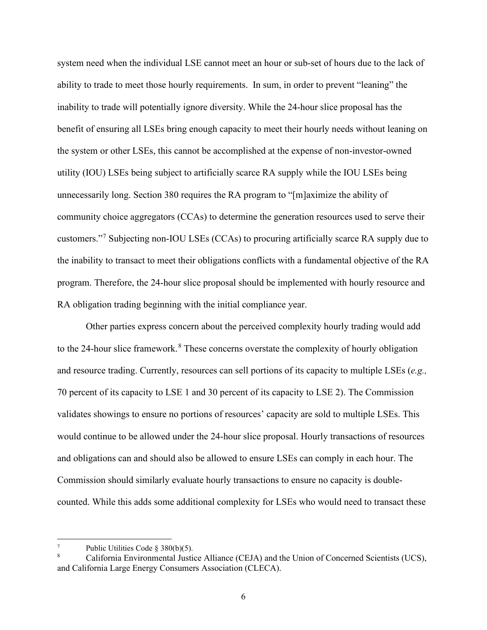system need when the individual LSE cannot meet an hour or sub-set of hours due to the lack of ability to trade to meet those hourly requirements. In sum, in order to prevent "leaning" the inability to trade will potentially ignore diversity. While the 24-hour slice proposal has the benefit of ensuring all LSEs bring enough capacity to meet their hourly needs without leaning on the system or other LSEs, this cannot be accomplished at the expense of non-investor-owned utility (IOU) LSEs being subject to artificially scarce RA supply while the IOU LSEs being unnecessarily long. Section 380 requires the RA program to "[m]aximize the ability of community choice aggregators (CCAs) to determine the generation resources used to serve their customers."<sup>[7](#page-8-0)</sup> Subjecting non-IOU LSEs (CCAs) to procuring artificially scarce RA supply due to the inability to transact to meet their obligations conflicts with a fundamental objective of the RA program. Therefore, the 24-hour slice proposal should be implemented with hourly resource and RA obligation trading beginning with the initial compliance year.

Other parties express concern about the perceived complexity hourly trading would add to the 24-hour slice framework.<sup>[8](#page-8-1)</sup> These concerns overstate the complexity of hourly obligation and resource trading. Currently, resources can sell portions of its capacity to multiple LSEs (*e.g.,* 70 percent of its capacity to LSE 1 and 30 percent of its capacity to LSE 2). The Commission validates showings to ensure no portions of resources' capacity are sold to multiple LSEs. This would continue to be allowed under the 24-hour slice proposal. Hourly transactions of resources and obligations can and should also be allowed to ensure LSEs can comply in each hour. The Commission should similarly evaluate hourly transactions to ensure no capacity is doublecounted. While this adds some additional complexity for LSEs who would need to transact these

<span id="page-8-0"></span><sup>7</sup> Public Utilities Code § 380(b)(5).

<span id="page-8-1"></span><sup>8</sup> California Environmental Justice Alliance (CEJA) and the Union of Concerned Scientists (UCS), and California Large Energy Consumers Association (CLECA).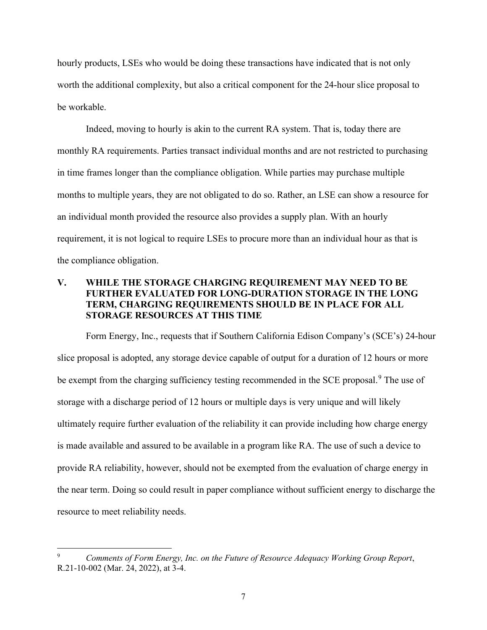hourly products, LSEs who would be doing these transactions have indicated that is not only worth the additional complexity, but also a critical component for the 24-hour slice proposal to be workable.

Indeed, moving to hourly is akin to the current RA system. That is, today there are monthly RA requirements. Parties transact individual months and are not restricted to purchasing in time frames longer than the compliance obligation. While parties may purchase multiple months to multiple years, they are not obligated to do so. Rather, an LSE can show a resource for an individual month provided the resource also provides a supply plan. With an hourly requirement, it is not logical to require LSEs to procure more than an individual hour as that is the compliance obligation.

#### <span id="page-9-0"></span>**V. WHILE THE STORAGE CHARGING REQUIREMENT MAY NEED TO BE FURTHER EVALUATED FOR LONG-DURATION STORAGE IN THE LONG TERM, CHARGING REQUIREMENTS SHOULD BE IN PLACE FOR ALL STORAGE RESOURCES AT THIS TIME**

Form Energy, Inc., requests that if Southern California Edison Company's (SCE's) 24-hour slice proposal is adopted, any storage device capable of output for a duration of 12 hours or more be exempt from the charging sufficiency testing recommended in the SCE proposal.<sup>[9](#page-9-1)</sup> The use of storage with a discharge period of 12 hours or multiple days is very unique and will likely ultimately require further evaluation of the reliability it can provide including how charge energy is made available and assured to be available in a program like RA. The use of such a device to provide RA reliability, however, should not be exempted from the evaluation of charge energy in the near term. Doing so could result in paper compliance without sufficient energy to discharge the resource to meet reliability needs.

<span id="page-9-1"></span><sup>9</sup> *Comments of Form Energy, Inc. on the Future of Resource Adequacy Working Group Report*, R.21-10-002 (Mar. 24, 2022), at 3-4.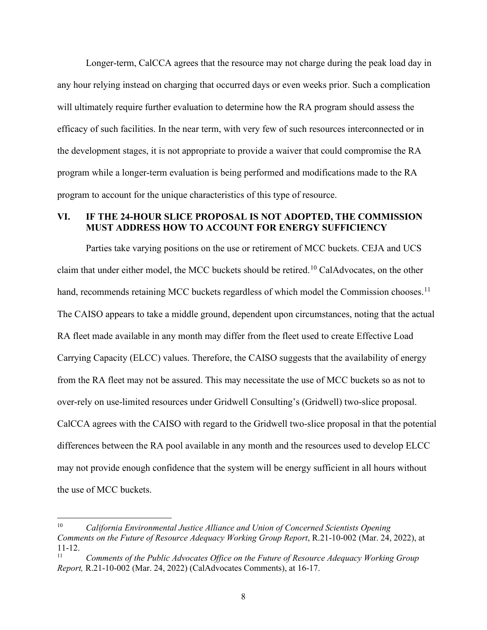Longer-term, CalCCA agrees that the resource may not charge during the peak load day in any hour relying instead on charging that occurred days or even weeks prior. Such a complication will ultimately require further evaluation to determine how the RA program should assess the efficacy of such facilities. In the near term, with very few of such resources interconnected or in the development stages, it is not appropriate to provide a waiver that could compromise the RA program while a longer-term evaluation is being performed and modifications made to the RA program to account for the unique characteristics of this type of resource.

#### <span id="page-10-0"></span>**VI. IF THE 24-HOUR SLICE PROPOSAL IS NOT ADOPTED, THE COMMISSION MUST ADDRESS HOW TO ACCOUNT FOR ENERGY SUFFICIENCY**

Parties take varying positions on the use or retirement of MCC buckets. CEJA and UCS claim that under either model, the MCC buckets should be retired.<sup>[10](#page-10-1)</sup> CalAdvocates, on the other hand, recommends retaining MCC buckets regardless of which model the Commission chooses.<sup>[11](#page-10-2)</sup> The CAISO appears to take a middle ground, dependent upon circumstances, noting that the actual RA fleet made available in any month may differ from the fleet used to create Effective Load Carrying Capacity (ELCC) values. Therefore, the CAISO suggests that the availability of energy from the RA fleet may not be assured. This may necessitate the use of MCC buckets so as not to over-rely on use-limited resources under Gridwell Consulting's (Gridwell) two-slice proposal. CalCCA agrees with the CAISO with regard to the Gridwell two-slice proposal in that the potential differences between the RA pool available in any month and the resources used to develop ELCC may not provide enough confidence that the system will be energy sufficient in all hours without the use of MCC buckets.

<span id="page-10-1"></span><sup>10</sup> *California Environmental Justice Alliance and Union of Concerned Scientists Opening Comments on the Future of Resource Adequacy Working Group Report*, R.21-10-002 (Mar. 24, 2022), at  $11-12.$ 

<span id="page-10-2"></span><sup>11</sup> *Comments of the Public Advocates Office on the Future of Resource Adequacy Working Group Report,* R.21-10-002 (Mar. 24, 2022) (CalAdvocates Comments), at 16-17.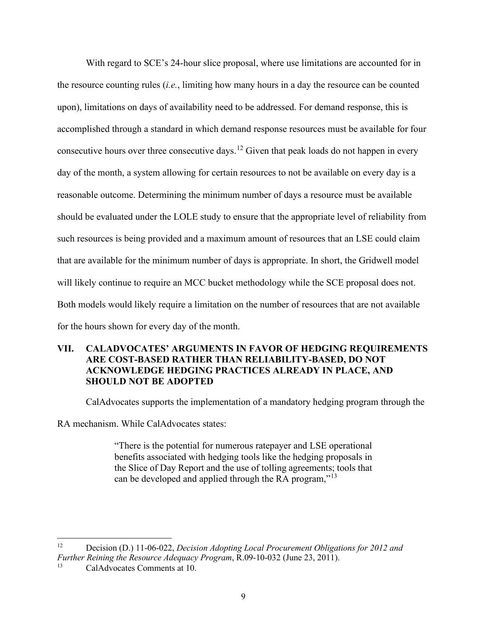With regard to SCE's 24-hour slice proposal, where use limitations are accounted for in the resource counting rules (*i.e.*, limiting how many hours in a day the resource can be counted upon), limitations on days of availability need to be addressed. For demand response, this is accomplished through a standard in which demand response resources must be available for four consecutive hours over three consecutive days.<sup>[12](#page-11-1)</sup> Given that peak loads do not happen in every day of the month, a system allowing for certain resources to not be available on every day is a reasonable outcome. Determining the minimum number of days a resource must be available should be evaluated under the LOLE study to ensure that the appropriate level of reliability from such resources is being provided and a maximum amount of resources that an LSE could claim that are available for the minimum number of days is appropriate. In short, the Gridwell model will likely continue to require an MCC bucket methodology while the SCE proposal does not. Both models would likely require a limitation on the number of resources that are not available for the hours shown for every day of the month.

### <span id="page-11-0"></span>**VII. CALADVOCATES' ARGUMENTS IN FAVOR OF HEDGING REQUIREMENTS ARE COST-BASED RATHER THAN RELIABILITY-BASED, DO NOT ACKNOWLEDGE HEDGING PRACTICES ALREADY IN PLACE, AND SHOULD NOT BE ADOPTED**

CalAdvocates supports the implementation of a mandatory hedging program through the

RA mechanism. While CalAdvocates states:

"There is the potential for numerous ratepayer and LSE operational benefits associated with hedging tools like the hedging proposals in the Slice of Day Report and the use of tolling agreements; tools that can be developed and applied through the RA program,"<sup>[13](#page-11-2)</sup>

<span id="page-11-1"></span><sup>12</sup> Decision (D.) 11-06-022, *Decision Adopting Local Procurement Obligations for 2012 and Further Reining the Resource Adequacy Program*, R.09-10-032 (June 23, 2011).

<span id="page-11-2"></span>CalAdvocates Comments at 10.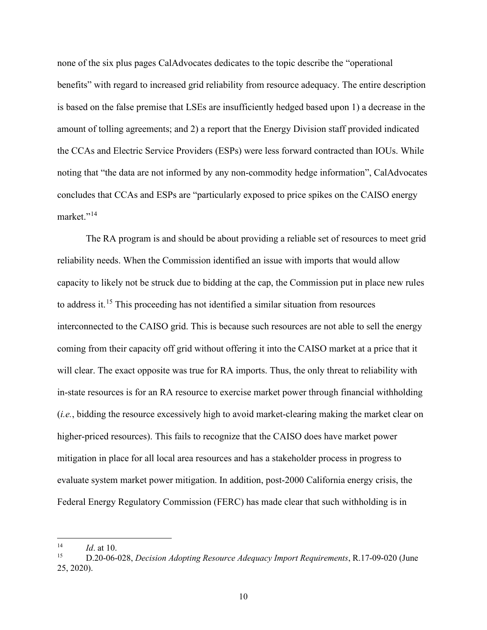none of the six plus pages CalAdvocates dedicates to the topic describe the "operational benefits" with regard to increased grid reliability from resource adequacy. The entire description is based on the false premise that LSEs are insufficiently hedged based upon 1) a decrease in the amount of tolling agreements; and 2) a report that the Energy Division staff provided indicated the CCAs and Electric Service Providers (ESPs) were less forward contracted than IOUs. While noting that "the data are not informed by any non-commodity hedge information", CalAdvocates concludes that CCAs and ESPs are "particularly exposed to price spikes on the CAISO energy market."<sup>[14](#page-12-0)</sup>

The RA program is and should be about providing a reliable set of resources to meet grid reliability needs. When the Commission identified an issue with imports that would allow capacity to likely not be struck due to bidding at the cap, the Commission put in place new rules to address it.[15](#page-12-1) This proceeding has not identified a similar situation from resources interconnected to the CAISO grid. This is because such resources are not able to sell the energy coming from their capacity off grid without offering it into the CAISO market at a price that it will clear. The exact opposite was true for RA imports. Thus, the only threat to reliability with in-state resources is for an RA resource to exercise market power through financial withholding (*i.e.*, bidding the resource excessively high to avoid market-clearing making the market clear on higher-priced resources). This fails to recognize that the CAISO does have market power mitigation in place for all local area resources and has a stakeholder process in progress to evaluate system market power mitigation. In addition, post-2000 California energy crisis, the Federal Energy Regulatory Commission (FERC) has made clear that such withholding is in

<span id="page-12-1"></span><span id="page-12-0"></span><sup>14</sup> *Id.* at 10.<br><sup>15</sup> D.20-06-028, *Decision Adopting Resource Adequacy Import Requirements*, R.17-09-020 (June 25, 2020).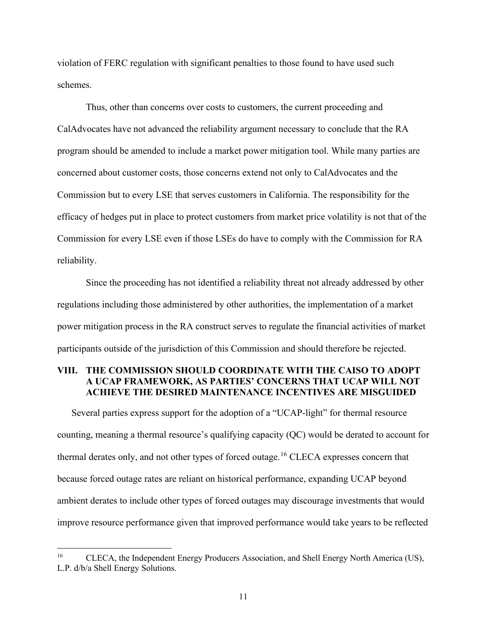violation of FERC regulation with significant penalties to those found to have used such schemes.

Thus, other than concerns over costs to customers, the current proceeding and CalAdvocates have not advanced the reliability argument necessary to conclude that the RA program should be amended to include a market power mitigation tool. While many parties are concerned about customer costs, those concerns extend not only to CalAdvocates and the Commission but to every LSE that serves customers in California. The responsibility for the efficacy of hedges put in place to protect customers from market price volatility is not that of the Commission for every LSE even if those LSEs do have to comply with the Commission for RA reliability.

Since the proceeding has not identified a reliability threat not already addressed by other regulations including those administered by other authorities, the implementation of a market power mitigation process in the RA construct serves to regulate the financial activities of market participants outside of the jurisdiction of this Commission and should therefore be rejected.

#### <span id="page-13-0"></span>**VIII. THE COMMISSION SHOULD COORDINATE WITH THE CAISO TO ADOPT A UCAP FRAMEWORK, AS PARTIES' CONCERNS THAT UCAP WILL NOT ACHIEVE THE DESIRED MAINTENANCE INCENTIVES ARE MISGUIDED**

Several parties express support for the adoption of a "UCAP-light" for thermal resource counting, meaning a thermal resource's qualifying capacity (QC) would be derated to account for thermal derates only, and not other types of forced outage.<sup>[16](#page-13-1)</sup> CLECA expresses concern that because forced outage rates are reliant on historical performance, expanding UCAP beyond ambient derates to include other types of forced outages may discourage investments that would improve resource performance given that improved performance would take years to be reflected

<span id="page-13-1"></span><sup>&</sup>lt;sup>16</sup> CLECA, the Independent Energy Producers Association, and Shell Energy North America (US), L.P. d/b/a Shell Energy Solutions.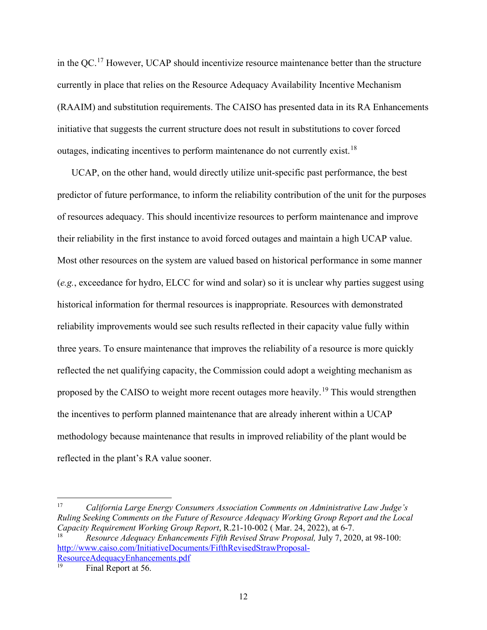in the QC.[17](#page-14-0) However, UCAP should incentivize resource maintenance better than the structure currently in place that relies on the Resource Adequacy Availability Incentive Mechanism (RAAIM) and substitution requirements. The CAISO has presented data in its RA Enhancements initiative that suggests the current structure does not result in substitutions to cover forced outages, indicating incentives to perform maintenance do not currently exist.[18](#page-14-1) 

UCAP, on the other hand, would directly utilize unit-specific past performance, the best predictor of future performance, to inform the reliability contribution of the unit for the purposes of resources adequacy. This should incentivize resources to perform maintenance and improve their reliability in the first instance to avoid forced outages and maintain a high UCAP value. Most other resources on the system are valued based on historical performance in some manner (*e.g.*, exceedance for hydro, ELCC for wind and solar) so it is unclear why parties suggest using historical information for thermal resources is inappropriate. Resources with demonstrated reliability improvements would see such results reflected in their capacity value fully within three years. To ensure maintenance that improves the reliability of a resource is more quickly reflected the net qualifying capacity, the Commission could adopt a weighting mechanism as proposed by the CAISO to weight more recent outages more heavily.<sup>[19](#page-14-2)</sup> This would strengthen the incentives to perform planned maintenance that are already inherent within a UCAP methodology because maintenance that results in improved reliability of the plant would be reflected in the plant's RA value sooner.

<span id="page-14-1"></span><span id="page-14-0"></span>17 *California Large Energy Consumers Association Comments on Administrative Law Judge's Ruling Seeking Comments on the Future of Resource Adequacy Working Group Report and the Local Capacity Requirement Working Group Report*, R.21-10-002 ( Mar. 24, 2022), at 6-7. 18 *Resource Adequacy Enhancements Fifth Revised Straw Proposal,* July 7, 2020, at 98-100: [http://www.caiso.com/InitiativeDocuments/FifthRevisedStrawProposal-](http://www.caiso.com/InitiativeDocuments/FifthRevisedStrawProposal-ResourceAdequacyEnhancements.pdf)ResourceAdequacyEnhancements.pdf<br>
<sup>19</sup> Final Report at 56.

<span id="page-14-2"></span>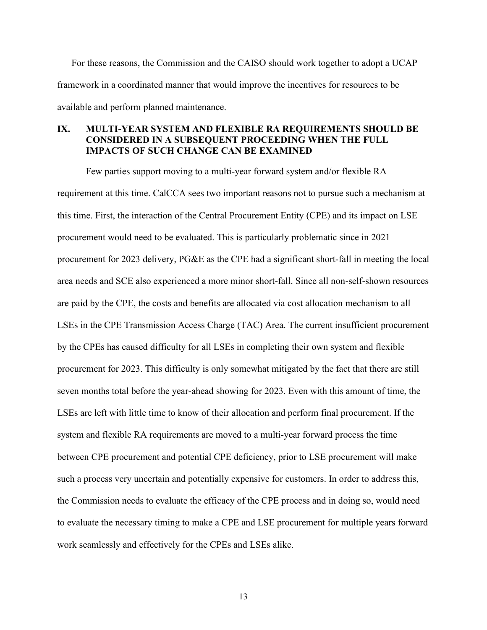For these reasons, the Commission and the CAISO should work together to adopt a UCAP framework in a coordinated manner that would improve the incentives for resources to be available and perform planned maintenance.

#### <span id="page-15-0"></span>**IX. MULTI-YEAR SYSTEM AND FLEXIBLE RA REQUIREMENTS SHOULD BE CONSIDERED IN A SUBSEQUENT PROCEEDING WHEN THE FULL IMPACTS OF SUCH CHANGE CAN BE EXAMINED**

Few parties support moving to a multi-year forward system and/or flexible RA requirement at this time. CalCCA sees two important reasons not to pursue such a mechanism at this time. First, the interaction of the Central Procurement Entity (CPE) and its impact on LSE procurement would need to be evaluated. This is particularly problematic since in 2021 procurement for 2023 delivery, PG&E as the CPE had a significant short-fall in meeting the local area needs and SCE also experienced a more minor short-fall. Since all non-self-shown resources are paid by the CPE, the costs and benefits are allocated via cost allocation mechanism to all LSEs in the CPE Transmission Access Charge (TAC) Area. The current insufficient procurement by the CPEs has caused difficulty for all LSEs in completing their own system and flexible procurement for 2023. This difficulty is only somewhat mitigated by the fact that there are still seven months total before the year-ahead showing for 2023. Even with this amount of time, the LSEs are left with little time to know of their allocation and perform final procurement. If the system and flexible RA requirements are moved to a multi-year forward process the time between CPE procurement and potential CPE deficiency, prior to LSE procurement will make such a process very uncertain and potentially expensive for customers. In order to address this, the Commission needs to evaluate the efficacy of the CPE process and in doing so, would need to evaluate the necessary timing to make a CPE and LSE procurement for multiple years forward work seamlessly and effectively for the CPEs and LSEs alike.

13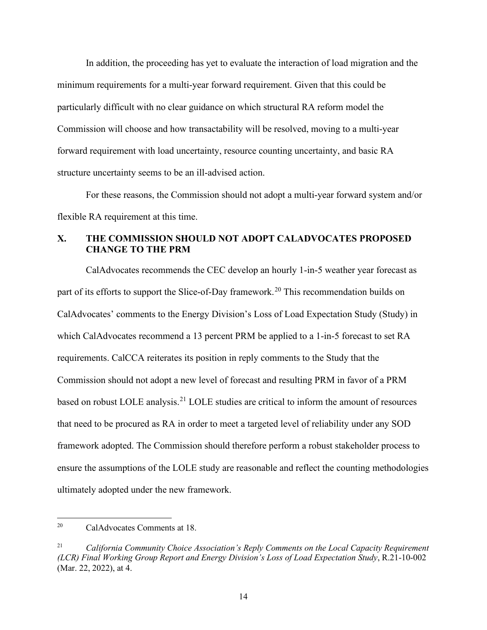In addition, the proceeding has yet to evaluate the interaction of load migration and the minimum requirements for a multi-year forward requirement. Given that this could be particularly difficult with no clear guidance on which structural RA reform model the Commission will choose and how transactability will be resolved, moving to a multi-year forward requirement with load uncertainty, resource counting uncertainty, and basic RA structure uncertainty seems to be an ill-advised action.

For these reasons, the Commission should not adopt a multi-year forward system and/or flexible RA requirement at this time.

## <span id="page-16-0"></span>**X. THE COMMISSION SHOULD NOT ADOPT CALADVOCATES PROPOSED CHANGE TO THE PRM**

CalAdvocates recommends the CEC develop an hourly 1-in-5 weather year forecast as part of its efforts to support the Slice-of-Day framework.<sup>20</sup> This recommendation builds on CalAdvocates' comments to the Energy Division's Loss of Load Expectation Study (Study) in which CalAdvocates recommend a 13 percent PRM be applied to a 1-in-5 forecast to set RA requirements. CalCCA reiterates its position in reply comments to the Study that the Commission should not adopt a new level of forecast and resulting PRM in favor of a PRM based on robust LOLE analysis.<sup>[21](#page-16-2)</sup> LOLE studies are critical to inform the amount of resources that need to be procured as RA in order to meet a targeted level of reliability under any SOD framework adopted. The Commission should therefore perform a robust stakeholder process to ensure the assumptions of the LOLE study are reasonable and reflect the counting methodologies ultimately adopted under the new framework.

<span id="page-16-1"></span><sup>20</sup> CalAdvocates Comments at 18.

<span id="page-16-2"></span><sup>21</sup> *California Community Choice Association's Reply Comments on the Local Capacity Requirement (LCR) Final Working Group Report and Energy Division's Loss of Load Expectation Study*, R.21-10-002 (Mar. 22, 2022), at 4.